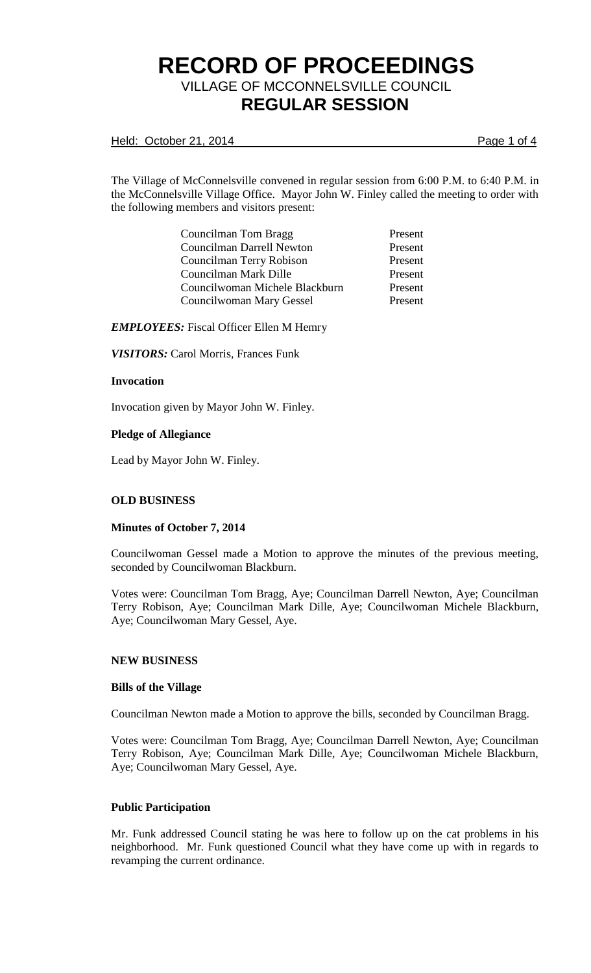Held: October 21, 2014 **Page 1 of 4** 

The Village of McConnelsville convened in regular session from 6:00 P.M. to 6:40 P.M. in the McConnelsville Village Office. Mayor John W. Finley called the meeting to order with the following members and visitors present:

| Present |
|---------|
| Present |
| Present |
| Present |
| Present |
| Present |
|         |

*EMPLOYEES:* Fiscal Officer Ellen M Hemry

*VISITORS:* Carol Morris, Frances Funk

### **Invocation**

Invocation given by Mayor John W. Finley.

### **Pledge of Allegiance**

Lead by Mayor John W. Finley.

## **OLD BUSINESS**

#### **Minutes of October 7, 2014**

Councilwoman Gessel made a Motion to approve the minutes of the previous meeting, seconded by Councilwoman Blackburn.

Votes were: Councilman Tom Bragg, Aye; Councilman Darrell Newton, Aye; Councilman Terry Robison, Aye; Councilman Mark Dille, Aye; Councilwoman Michele Blackburn, Aye; Councilwoman Mary Gessel, Aye.

#### **NEW BUSINESS**

#### **Bills of the Village**

Councilman Newton made a Motion to approve the bills, seconded by Councilman Bragg.

Votes were: Councilman Tom Bragg, Aye; Councilman Darrell Newton, Aye; Councilman Terry Robison, Aye; Councilman Mark Dille, Aye; Councilwoman Michele Blackburn, Aye; Councilwoman Mary Gessel, Aye.

#### **Public Participation**

Mr. Funk addressed Council stating he was here to follow up on the cat problems in his neighborhood. Mr. Funk questioned Council what they have come up with in regards to revamping the current ordinance.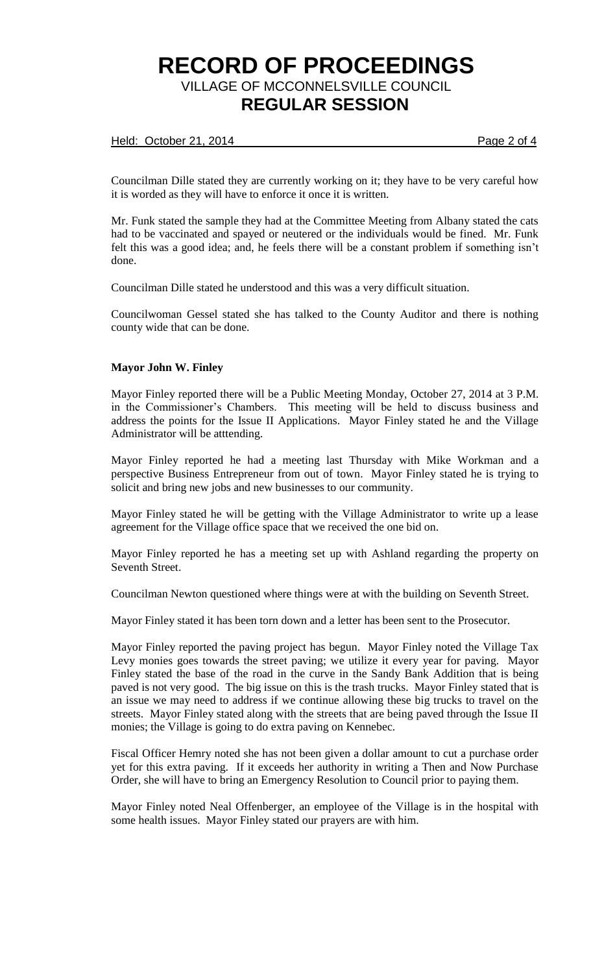## Held: October 21, 2014 **Page 2 of 4**

Councilman Dille stated they are currently working on it; they have to be very careful how it is worded as they will have to enforce it once it is written.

Mr. Funk stated the sample they had at the Committee Meeting from Albany stated the cats had to be vaccinated and spayed or neutered or the individuals would be fined. Mr. Funk felt this was a good idea; and, he feels there will be a constant problem if something isn't done.

Councilman Dille stated he understood and this was a very difficult situation.

Councilwoman Gessel stated she has talked to the County Auditor and there is nothing county wide that can be done.

## **Mayor John W. Finley**

Mayor Finley reported there will be a Public Meeting Monday, October 27, 2014 at 3 P.M. in the Commissioner's Chambers. This meeting will be held to discuss business and address the points for the Issue II Applications. Mayor Finley stated he and the Village Administrator will be atttending.

Mayor Finley reported he had a meeting last Thursday with Mike Workman and a perspective Business Entrepreneur from out of town. Mayor Finley stated he is trying to solicit and bring new jobs and new businesses to our community.

Mayor Finley stated he will be getting with the Village Administrator to write up a lease agreement for the Village office space that we received the one bid on.

Mayor Finley reported he has a meeting set up with Ashland regarding the property on Seventh Street.

Councilman Newton questioned where things were at with the building on Seventh Street.

Mayor Finley stated it has been torn down and a letter has been sent to the Prosecutor.

Mayor Finley reported the paving project has begun. Mayor Finley noted the Village Tax Levy monies goes towards the street paving; we utilize it every year for paving. Mayor Finley stated the base of the road in the curve in the Sandy Bank Addition that is being paved is not very good. The big issue on this is the trash trucks. Mayor Finley stated that is an issue we may need to address if we continue allowing these big trucks to travel on the streets. Mayor Finley stated along with the streets that are being paved through the Issue II monies; the Village is going to do extra paving on Kennebec.

Fiscal Officer Hemry noted she has not been given a dollar amount to cut a purchase order yet for this extra paving. If it exceeds her authority in writing a Then and Now Purchase Order, she will have to bring an Emergency Resolution to Council prior to paying them.

Mayor Finley noted Neal Offenberger, an employee of the Village is in the hospital with some health issues. Mayor Finley stated our prayers are with him.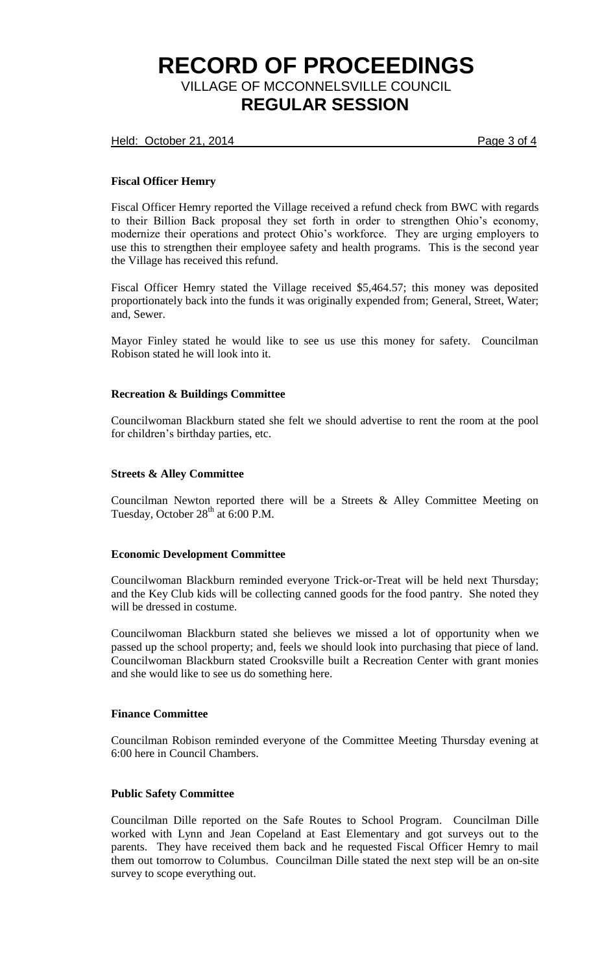Held: October 21, 2014 **Page 3 of 4** 

# **Fiscal Officer Hemry**

Fiscal Officer Hemry reported the Village received a refund check from BWC with regards to their Billion Back proposal they set forth in order to strengthen Ohio's economy, modernize their operations and protect Ohio's workforce. They are urging employers to use this to strengthen their employee safety and health programs. This is the second year the Village has received this refund.

Fiscal Officer Hemry stated the Village received \$5,464.57; this money was deposited proportionately back into the funds it was originally expended from; General, Street, Water; and, Sewer.

Mayor Finley stated he would like to see us use this money for safety. Councilman Robison stated he will look into it.

### **Recreation & Buildings Committee**

Councilwoman Blackburn stated she felt we should advertise to rent the room at the pool for children's birthday parties, etc.

## **Streets & Alley Committee**

Councilman Newton reported there will be a Streets & Alley Committee Meeting on Tuesday, October  $28<sup>th</sup>$  at 6:00 P.M.

## **Economic Development Committee**

Councilwoman Blackburn reminded everyone Trick-or-Treat will be held next Thursday; and the Key Club kids will be collecting canned goods for the food pantry. She noted they will be dressed in costume.

Councilwoman Blackburn stated she believes we missed a lot of opportunity when we passed up the school property; and, feels we should look into purchasing that piece of land. Councilwoman Blackburn stated Crooksville built a Recreation Center with grant monies and she would like to see us do something here.

#### **Finance Committee**

Councilman Robison reminded everyone of the Committee Meeting Thursday evening at 6:00 here in Council Chambers.

## **Public Safety Committee**

Councilman Dille reported on the Safe Routes to School Program. Councilman Dille worked with Lynn and Jean Copeland at East Elementary and got surveys out to the parents. They have received them back and he requested Fiscal Officer Hemry to mail them out tomorrow to Columbus. Councilman Dille stated the next step will be an on-site survey to scope everything out.